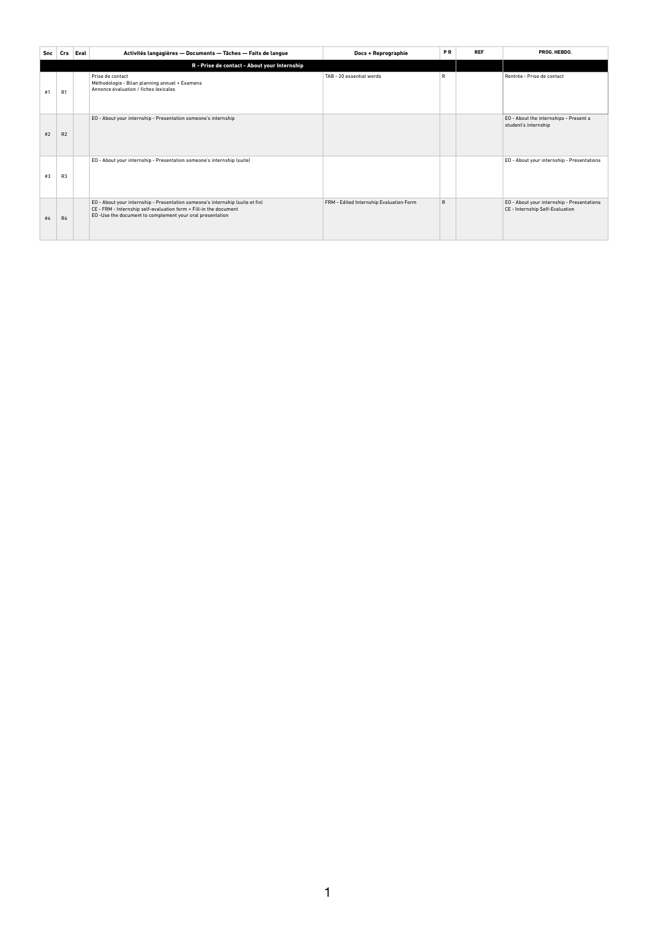| Snc | Crs            | Eval | Activités langagières - Documents - Tâches - Faits de langue                                                                                                                                                   | Docs + Reprographie                     | <b>PR</b>    | <b>REF</b> | PROG. HEBDO.                                                                  |  |
|-----|----------------|------|----------------------------------------------------------------------------------------------------------------------------------------------------------------------------------------------------------------|-----------------------------------------|--------------|------------|-------------------------------------------------------------------------------|--|
|     |                |      |                                                                                                                                                                                                                |                                         |              |            |                                                                               |  |
| #1  | R1             |      | Prise de contact<br>Méthodologie - Bilan planning annuel + Examens<br>Annonce évaluation / fiches lexicales                                                                                                    | TAB - 20 essential words                | R            |            | Rentrée - Prise de contact                                                    |  |
| #2  | R <sub>2</sub> |      | EO - About your internship - Presentation someone's internship                                                                                                                                                 |                                         |              |            | EO - About the internships - Present a<br>student's internship                |  |
| #3  | R3             |      | EO - About your internship - Presentation someone's internship (suite)                                                                                                                                         |                                         |              |            | EO - About your internship - Presentations                                    |  |
| #4  | R4             |      | EO - About your internship - Presentation someone's internship (suite et fin)<br>CE - FRM - Internship self-evaluation form + Fill-in the document<br>EO-Use the document to complement your oral presentation | FRM - Edited Internship Evaluation Form | $\mathsf{R}$ |            | EO - About your internship - Presentations<br>CE - Internship Self-Evaluation |  |

1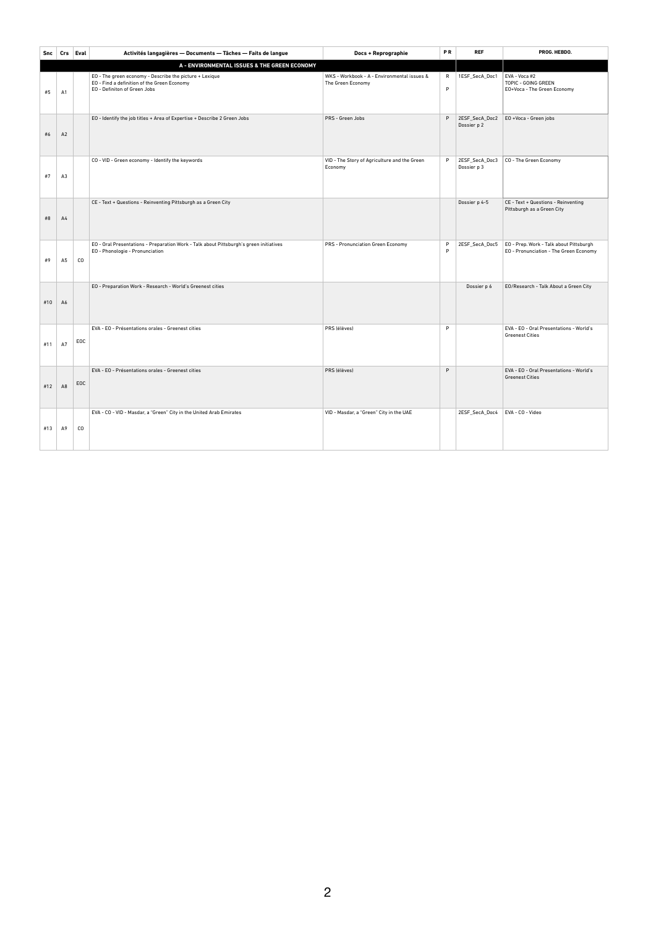| Snc | Crs Eval       |     | Activités langagières - Documents - Tâches - Faits de langue                                                                           | <b>Docs + Reprographie</b>                                       | PR                | <b>REF</b>                    | PROG. HEBDO.                                                                      |
|-----|----------------|-----|----------------------------------------------------------------------------------------------------------------------------------------|------------------------------------------------------------------|-------------------|-------------------------------|-----------------------------------------------------------------------------------|
|     |                |     | A - ENVIRONMENTAL ISSUES & THE GREEN ECONOMY                                                                                           |                                                                  |                   |                               |                                                                                   |
| #5  | A1             |     | EO - The green economy - Describe the picture + Lexique<br>EO - Find a definition of the Green Economy<br>EO - Definiton of Green Jobs | WKS - Workbook - A - Environmental issues &<br>The Green Economy | $\mathsf{R}$<br>P | 1ESF_SecA_Doc1                | EVA - Voca #2<br>TOPIC - GOING GREEN<br>EO+Voca - The Green Economy               |
| #6  | A2             |     | EO - Identify the job titles + Area of Expertise + Describe 2 Green Jobs                                                               | PRS - Green Jobs                                                 | P                 | 2ESF_SecA_Doc2<br>Dossier p 2 | EO +Voca - Green jobs                                                             |
| #7  | A3             |     | CO - VID - Green economy - Identify the keywords                                                                                       | VID - The Story of Agriculture and the Green<br>Economy          | P                 | 2ESF_SecA_Doc3<br>Dossier p 3 | CO - The Green Economy                                                            |
| #8  | A4             |     | CE - Text + Questions - Reinventing Pittsburgh as a Green City                                                                         |                                                                  |                   | Dossier p 4-5                 | CE - Text + Questions - Reinventing<br>Pittsburgh as a Green City                 |
| #9  | A <sub>5</sub> | CO  | EO - Oral Presentations - Preparation Work - Talk about Pittsburgh's green initiatives<br>EO - Phonologie - Pronunciation              | PRS - Pronunciation Green Economy                                | P<br>P            | 2ESF_SecA_Doc5                | EO - Prep. Work - Talk about Pittsburgh<br>EO - Pronunciation - The Green Economy |
| #10 | A6             |     | EO - Preparation Work - Research - World's Greenest cities                                                                             |                                                                  |                   | Dossier p 6                   | EO/Research - Talk About a Green City                                             |
| #11 | A7             | EOC | EVA - EO - Présentations orales - Greenest cities                                                                                      | PRS (élèves)                                                     | P                 |                               | EVA - EO - Oral Presentations - World's<br><b>Greenest Cities</b>                 |
| #12 | A <sub>8</sub> | EOC | EVA - EO - Présentations orales - Greenest cities                                                                                      | PRS (élèves)                                                     | P                 |                               | EVA - EO - Oral Presentations - World's<br><b>Greenest Cities</b>                 |
| #13 | A9             | CO  | EVA - CO - VID - Masdar, a "Green" City in the United Arab Emirates                                                                    | VID - Masdar, a "Green" City in the UAE                          |                   | 2ESF_SecA_Doc4                | EVA - CO - Video                                                                  |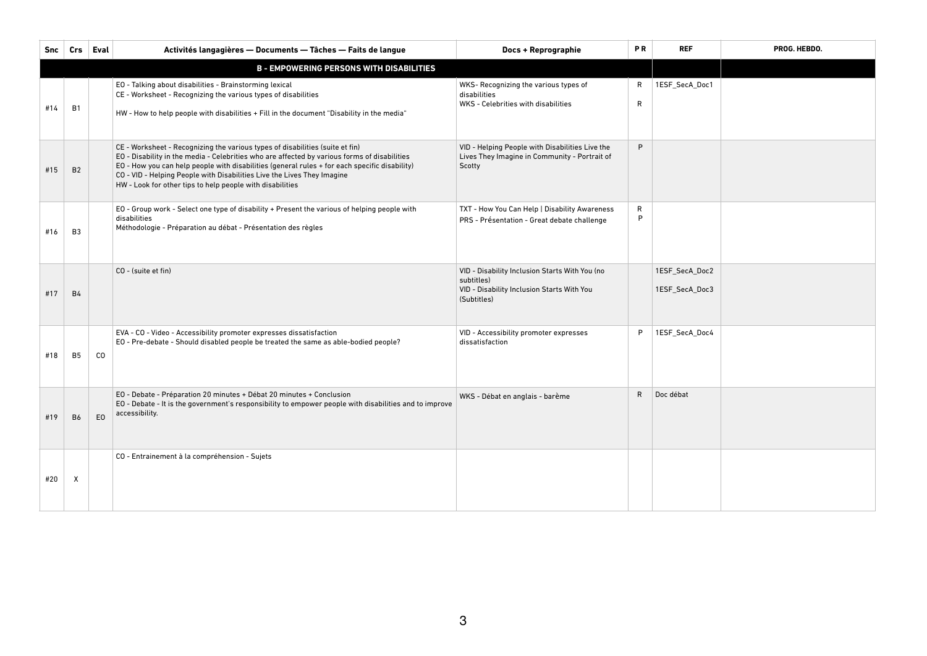| Snc | Crs                                             | Eval           | Activités langagières - Documents - Tâches - Faits de langue                                                                                                                                                                                                                                                                                                                                                           | <b>Docs + Reprographie</b>                                                                                                | <b>PR</b>         | <b>REF</b>                       | PROG. HEBDO. |  |  |
|-----|-------------------------------------------------|----------------|------------------------------------------------------------------------------------------------------------------------------------------------------------------------------------------------------------------------------------------------------------------------------------------------------------------------------------------------------------------------------------------------------------------------|---------------------------------------------------------------------------------------------------------------------------|-------------------|----------------------------------|--------------|--|--|
|     | <b>B - EMPOWERING PERSONS WITH DISABILITIES</b> |                |                                                                                                                                                                                                                                                                                                                                                                                                                        |                                                                                                                           |                   |                                  |              |  |  |
| #14 | <b>B1</b>                                       |                | EO - Talking about disabilities - Brainstorming lexical<br>CE - Worksheet - Recognizing the various types of disabilities<br>HW - How to help people with disabilities + Fill in the document "Disability in the media"                                                                                                                                                                                                | WKS- Recognizing the various types of<br>disabilities<br>WKS - Celebrities with disabilities                              | R<br>$\mathsf{R}$ | 1ESF_SecA_Doc1                   |              |  |  |
| #15 | B <sub>2</sub>                                  |                | CE - Worksheet - Recognizing the various types of disabilities (suite et fin)<br>EO - Disability in the media - Celebrities who are affected by various forms of disabilities<br>EO - How you can help people with disabilities (general rules + for each specific disability)<br>CO - VID - Helping People with Disabilities Live the Lives They Imagine<br>HW - Look for other tips to help people with disabilities | VID - Helping People with Disabilities Live the<br>Lives They Imagine in Community - Portrait of<br>Scotty                | P                 |                                  |              |  |  |
| #16 | <b>B3</b>                                       |                | EO - Group work - Select one type of disability + Present the various of helping people with<br>disabilities<br>Méthodologie - Préparation au débat - Présentation des règles                                                                                                                                                                                                                                          | TXT - How You Can Help   Disability Awareness<br>PRS - Présentation - Great debate challenge                              | $\mathsf R$<br>P  |                                  |              |  |  |
| #17 | <b>B4</b>                                       |                | CO - (suite et fin)                                                                                                                                                                                                                                                                                                                                                                                                    | VID - Disability Inclusion Starts With You (no<br>subtitles)<br>VID - Disability Inclusion Starts With You<br>(Subtitles) |                   | 1ESF_SecA_Doc2<br>1ESF_SecA_Doc3 |              |  |  |
| #18 | <b>B5</b>                                       | CO             | EVA - CO - Video - Accessibility promoter expresses dissatisfaction<br>EO - Pre-debate - Should disabled people be treated the same as able-bodied people?                                                                                                                                                                                                                                                             | VID - Accessibility promoter expresses<br>dissatisfaction                                                                 | P                 | 1ESF_SecA_Doc4                   |              |  |  |
| #19 | <b>B6</b>                                       | E <sub>0</sub> | EO - Debate - Préparation 20 minutes + Débat 20 minutes + Conclusion<br>EO - Debate - It is the government's responsibility to empower people with disabilities and to improve<br>accessibility.                                                                                                                                                                                                                       | WKS - Débat en anglais - barème                                                                                           | R                 | Doc débat                        |              |  |  |
| #20 | X                                               |                | CO - Entrainement à la compréhension - Sujets                                                                                                                                                                                                                                                                                                                                                                          |                                                                                                                           |                   |                                  |              |  |  |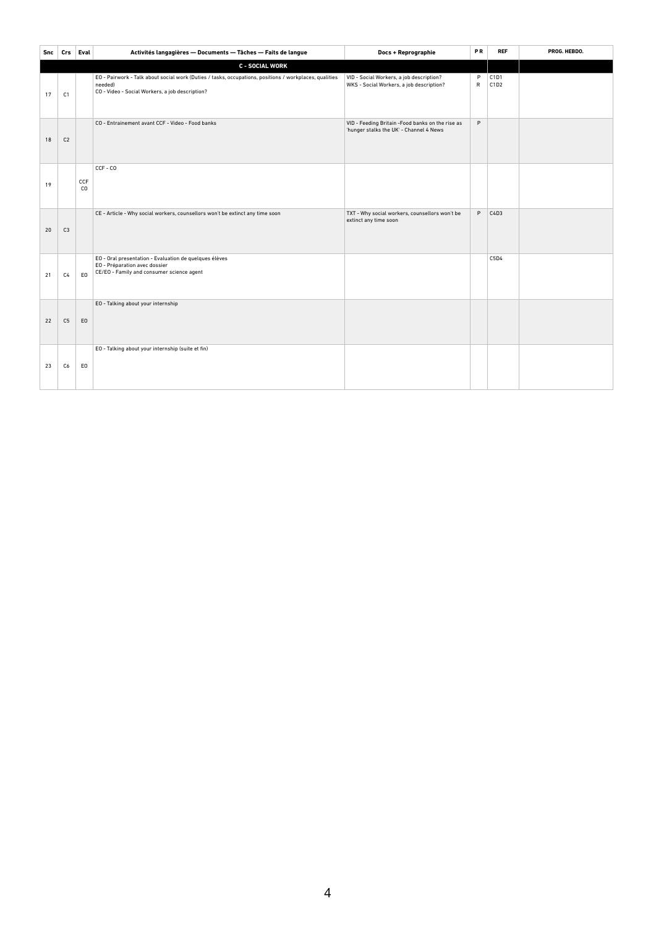| Snc |                | Crs Eval       | Activités langagières - Documents - Tâches - Faits de langue                                                                                                         | Docs + Reprographie                                                                          | PR                | <b>REF</b>   | PROG. HEBDO. |
|-----|----------------|----------------|----------------------------------------------------------------------------------------------------------------------------------------------------------------------|----------------------------------------------------------------------------------------------|-------------------|--------------|--------------|
|     |                |                | <b>C - SOCIAL WORK</b>                                                                                                                                               |                                                                                              |                   |              |              |
| 17  | C <sub>1</sub> |                | EO - Pairwork - Talk about social work (Duties / tasks, occupations, positions / workplaces, qualities<br>needed)<br>CO - Video - Social Workers, a job description? | VID - Social Workers, a job description?<br>WKS - Social Workers, a job description?         | P<br>$\mathsf{R}$ | C1D1<br>C1D2 |              |
| 18  | C <sub>2</sub> |                | CO - Entrainement avant CCF - Video - Food banks                                                                                                                     | VID - Feeding Britain - Food banks on the rise as<br>'hunger stalks the UK' - Channel 4 News | P                 |              |              |
| 19  |                | CCF<br>CO      | $CCF - CO$                                                                                                                                                           |                                                                                              |                   |              |              |
| 20  | C <sub>3</sub> |                | CE - Article - Why social workers, counsellors won't be extinct any time soon                                                                                        | TXT - Why social workers, counsellors won't be<br>extinct any time soon                      | P                 | C4D3         |              |
| 21  | C <sub>4</sub> | EO             | EO - Oral presentation - Evaluation de quelques élèves<br>EO - Préparation avec dossier<br>CE/EO - Family and consumer science agent                                 |                                                                                              |                   | C5D4         |              |
| 22  | C <sub>5</sub> | E <sub>0</sub> | EO - Talking about your internship                                                                                                                                   |                                                                                              |                   |              |              |
| 23  | C6             | EO             | EO - Talking about your internship (suite et fin)                                                                                                                    |                                                                                              |                   |              |              |